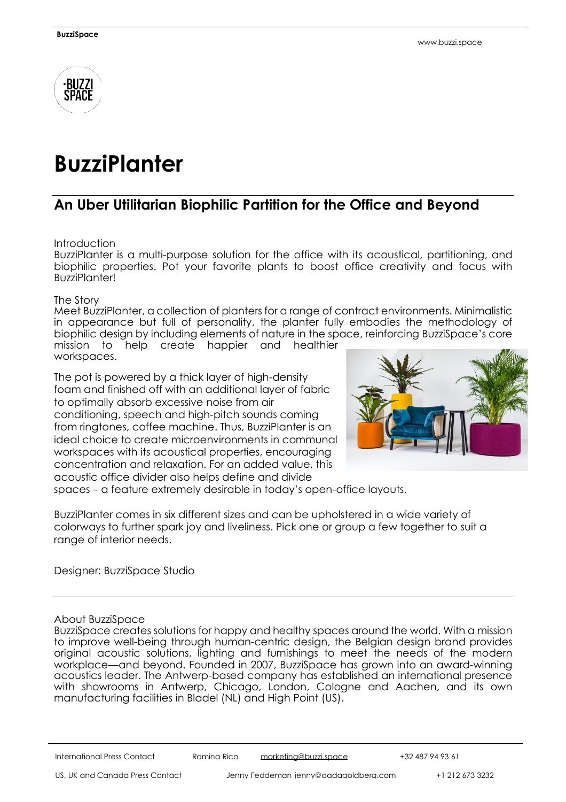

## **BuzziPlanter**

## **An Uber Utilitarian Biophilic Partition for the Office and Beyond**

**Introduction** 

BuzziPlanter is a multi-purpose solution for the office with its acoustical, partitioning, and biophilic properties. Pot your favorite plants to boost office creativity and focus with **BuzziPlanter!** 

The Story

Meet BuzziPlanter, a collection of planters for a range of contract environments. Minimalistic in appearance but full of personality, the planter fully embodies the methodology of biophilic design by including elements of nature in the space, reinforcing BuzziSpace's core mission to help create happier and healthier workspaces.

The pot is powered by a thick layer of high-density foam and finished off with an additional layer of fabric to optimally absorb excessive noise from air conditioning, speech and high-pitch sounds coming from ringtones, coffee machine. Thus, BuzziPlanter is an ideal choice to create microenvironments in communal workspaces with its acoustical properties, encouraging concentration and relaxation. For an added value, this acoustic office divider also helps define and divide



spaces – a feature extremely desirable in today's open-office layouts.

BuzziPlanter comes in six different sizes and can be upholstered in a wide variety of colorways to further spark joy and liveliness. Pick one or group a few together to suit a range of interior needs.

Designer: BuzziSpace Studio

## About BuzziSpace

BuzziSpace creates solutions for happy and healthy spaces around the world. With a mission to improve well-being through human-centric design, the Belgian design brand provides original acoustic solutions, lighting and furnishings to meet the needs of the modern workplace—and beyond. Founded in 2007, BuzziSpace has grown into an award-winning acoustics leader. The Antwerp-based company has established an international presence with showrooms in Antwerp, Chicago, London, Cologne and Aachen, and its own manufacturing facilities in Bladel (NL) and High Point (US).